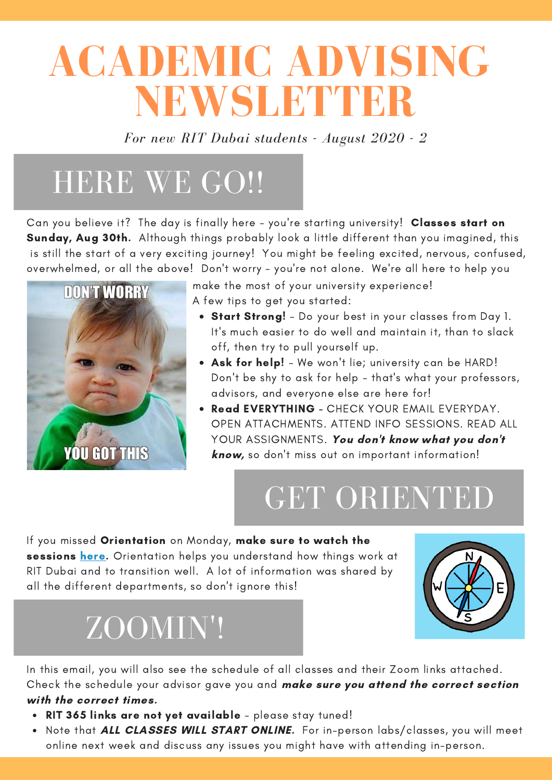# **ACADEMIC ADVISING NEWSLETTER**

*For new RIT Dubai students - August 2020 - 2*

## HERE WE GO !!

Can you believe it? The day is finally here - you're starting university! Classes start on Sunday, Aug 30th. Although things probably look a little different than you imagined, this is still the start of a very exciting journey! You might be feeling excited, nervous, confused, overwhelmed, or all the above! Don't worry - you're not alone. We're all here to help you



make the most of your university experience! A few tips to get you started:

- Start Strong! Do your best in your classes from Day 1. It's much easier to do well and maintain it, than to slack off, then try to pull yourself up.
- Ask for help! We won't lie; university can be HARD! Don't be shy to ask for help - that's what your professors, advisors, and everyone else are here for!
- Read EVERYTHING CHECK YOUR EMAIL EVERYDAY. OPEN ATTACHMENTS. ATTEND INFO SESSIONS. READ ALL YOUR ASSIGNMENTS. You don't know what you don't know, so don't miss out on important information!

# GET ORIENTED

If you missed Orientation on Monday, make sure to watch the sessions [here.](https://www.youtube.com/watch?reload=9&v=pHPLwzz8_wE) Orientation helps you understand how things work at RIT Dubai and to transition well. A lot of information was shared by all the different departments, so don't ignore this!



# ZOOMIN'!

In this email, you will also see the schedule of all classes and their Zoom links attached. Check the schedule your advisor gave you and make sure you attend the correct section

#### with the correct times.

- RIT 365 links are not yet available please stay tuned!
- Note that ALL CLASSES WILL START ONLINE. For in-person labs/classes, you will meet online next week and discuss any issues you might have with attending in-person.